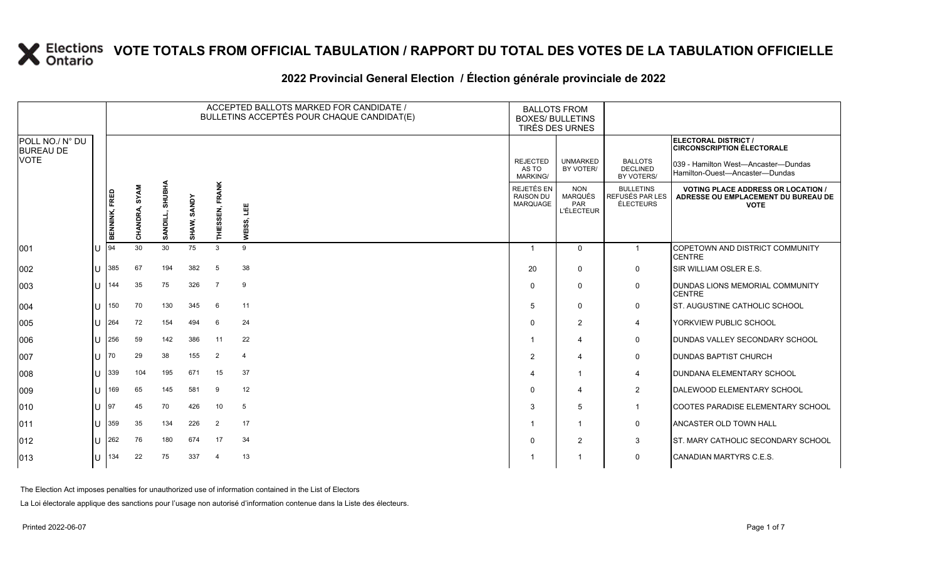#### **2022 Provincial General Election / Élection générale provinciale de 2022**

|                                     |                |               |                         |                             |                       | ACCEPTED BALLOTS MARKED FOR CANDIDATE /<br>BULLETINS ACCEPTÉS POUR CHAQUE CANDIDAT(E) |                |                                                   | <b>BALLOTS FROM</b><br><b>BOXES/ BULLETINS</b><br>TIRÉS DES URNES |                                                  |                                                                                                 |
|-------------------------------------|----------------|---------------|-------------------------|-----------------------------|-----------------------|---------------------------------------------------------------------------------------|----------------|---------------------------------------------------|-------------------------------------------------------------------|--------------------------------------------------|-------------------------------------------------------------------------------------------------|
| POLL NO./ N° DU<br><b>BUREAU DE</b> |                |               |                         |                             |                       |                                                                                       |                |                                                   |                                                                   |                                                  | <b>ELECTORAL DISTRICT /</b><br><b>CIRCONSCRIPTION ÉLECTORALE</b>                                |
| VOTE                                |                |               |                         |                             |                       |                                                                                       |                | <b>REJECTED</b><br>AS TO<br><b>MARKING/</b>       | <b>UNMARKED</b><br>BY VOTER/                                      | <b>BALLOTS</b><br><b>DECLINED</b><br>BY VOTERS/  | 039 - Hamilton West—Ancaster—Dundas<br>Hamilton-Ouest-Ancaster-Dundas                           |
|                                     |                | BENNINK, FRED | <b>SYAM</b><br>CHANDRA, | ≤<br>⋾<br>ま<br>n<br>S<br>डू | <b>SANDY</b><br>SHAW, | THIESSEN, FRANK                                                                       | 삠<br>WEISS,    | REJETÉS EN<br><b>RAISON DU</b><br><b>MARQUAGE</b> | <b>NON</b><br><b>MARQUÉS</b><br><b>PAR</b><br><b>L'ÉLECTEUR</b>   | <b>BULLETINS</b><br>REFUSÉS PAR LES<br>ÉLECTEURS | <b>VOTING PLACE ADDRESS OR LOCATION /</b><br>ADRESSE OU EMPLACEMENT DU BUREAU DE<br><b>VOTE</b> |
| 001                                 | $\mathbf{L}$   | 94            | 30                      | 30                          | 75                    | 3                                                                                     | 9              | $\overline{1}$                                    | $\Omega$                                                          | $\mathbf{1}$                                     | <b>COPETOWN AND DISTRICT COMMUNITY</b><br><b>CENTRE</b>                                         |
| 002                                 |                | 385           | 67                      | 194                         | 382                   | 5                                                                                     | 38             | 20                                                | $\mathbf{0}$                                                      | $\mathbf 0$                                      | <b>SIR WILLIAM OSLER E.S.</b>                                                                   |
| 003                                 |                | 144           | 35                      | 75                          | 326                   | $\overline{7}$                                                                        | 9              | $\Omega$                                          | $\mathbf{0}$                                                      | $\mathsf{O}$                                     | DUNDAS LIONS MEMORIAL COMMUNITY<br><b>CENTRE</b>                                                |
| 004                                 | $\blacksquare$ | 150           | 70                      | 130                         | 345                   | -6                                                                                    | 11             | 5                                                 | $\Omega$                                                          | $\mathbf 0$                                      | <b>IST. AUGUSTINE CATHOLIC SCHOOL</b>                                                           |
| 005                                 |                | 264           | 72                      | 154                         | 494                   | -6                                                                                    | 24             | $\Omega$                                          | 2                                                                 | 4                                                | YORKVIEW PUBLIC SCHOOL                                                                          |
| 006                                 |                | 256           | 59                      | 142                         | 386                   | 11                                                                                    | 22             |                                                   | 4                                                                 | $\mathbf 0$                                      | <b>IDUNDAS VALLEY SECONDARY SCHOOL</b>                                                          |
| 007                                 | $\blacksquare$ | 70            | 29                      | 38                          | 155                   | $\overline{2}$                                                                        | $\overline{4}$ | 2                                                 | 4                                                                 | $\mathsf{O}$                                     | <b>DUNDAS BAPTIST CHURCH</b>                                                                    |
| 008                                 |                | 339           | 104                     | 195                         | 671                   | 15                                                                                    | 37             | 4                                                 | $\overline{1}$                                                    | 4                                                | <b>DUNDANA ELEMENTARY SCHOOL</b>                                                                |
| 009                                 |                | 169           | 65                      | 145                         | 581                   | -9                                                                                    | 12             | 0                                                 | 4                                                                 | $\overline{2}$                                   | DALEWOOD ELEMENTARY SCHOOL                                                                      |
| 010                                 |                | 97            | 45                      | 70                          | 426                   | 10                                                                                    | 5              | 3                                                 | 5                                                                 | $\mathbf{1}$                                     | COOTES PARADISE ELEMENTARY SCHOOL                                                               |
| 011                                 |                | 359           | 35                      | 134                         | 226                   | 2                                                                                     | 17             |                                                   | $\overline{1}$                                                    | $\mathbf 0$                                      | <b>ANCASTER OLD TOWN HALL</b>                                                                   |
| 012                                 | $\blacksquare$ | 262           | 76                      | 180                         | 674                   | 17                                                                                    | 34             | $\Omega$                                          | 2                                                                 | 3                                                | ST. MARY CATHOLIC SECONDARY SCHOOL                                                              |
| 013                                 |                | 134           | 22                      | 75                          | 337                   | $\boldsymbol{\varDelta}$                                                              | 13             |                                                   | $\overline{1}$                                                    | 0                                                | CANADIAN MARTYRS C.E.S.                                                                         |

The Election Act imposes penalties for unauthorized use of information contained in the List of Electors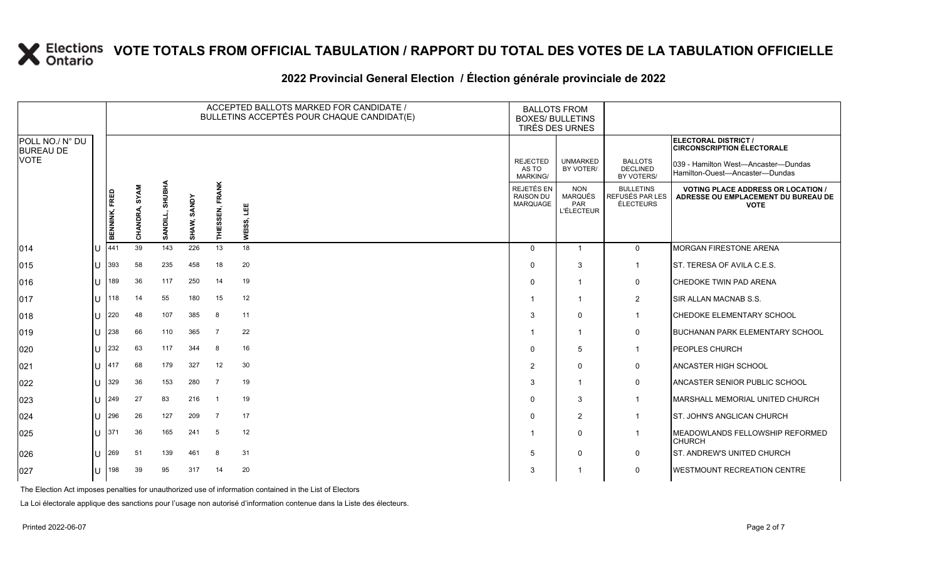### **2022 Provincial General Election / Élection générale provinciale de 2022**

|                                     |               |                         |                           |                       |                        | ACCEPTED BALLOTS MARKED FOR CANDIDATE /<br>BULLETINS ACCEPTÉS POUR CHAQUE CANDIDAT(E) | <b>BALLOTS FROM</b><br><b>BOXES/ BULLETINS</b><br>TIRÉS DES URNES |                                                          |                                                  |                                                                                                 |
|-------------------------------------|---------------|-------------------------|---------------------------|-----------------------|------------------------|---------------------------------------------------------------------------------------|-------------------------------------------------------------------|----------------------------------------------------------|--------------------------------------------------|-------------------------------------------------------------------------------------------------|
| POLL NO./ N° DU<br><b>BUREAU DE</b> |               |                         |                           |                       |                        |                                                                                       |                                                                   |                                                          |                                                  | ELECTORAL DISTRICT /<br><b>CIRCONSCRIPTION ÉLECTORALE</b>                                       |
| VOTE                                |               |                         |                           |                       |                        |                                                                                       | <b>REJECTED</b><br>AS TO<br><b>MARKING/</b>                       | <b>UNMARKED</b><br>BY VOTER/                             | <b>BALLOTS</b><br><b>DECLINED</b><br>BY VOTERS/  | 039 - Hamilton West-Ancaster-Dundas<br>Hamilton-Ouest—Ancaster—Dundas                           |
|                                     | BENNINK, FRED | <b>SYAM</b><br>CHANDRA, | <b>SHUBHA</b><br>SANDILL, | <b>SANDY</b><br>SHAW, | <b>THIESSEN, FRANK</b> | 삨<br>WEISS,                                                                           | REJETÉS EN<br><b>RAISON DU</b><br>MARQUAGE                        | <b>NON</b><br><b>MARQUÉS</b><br>PAR<br><b>L'ÉLECTEUR</b> | <b>BULLETINS</b><br>REFUSÉS PAR LES<br>ÉLECTEURS | <b>VOTING PLACE ADDRESS OR LOCATION /</b><br>ADRESSE OU EMPLACEMENT DU BUREAU DE<br><b>VOTE</b> |
| 014                                 | 441           | 39                      | 143                       | 226                   | 13                     | 18                                                                                    | $\Omega$                                                          | $\mathbf{1}$                                             | $\overline{0}$                                   | <b>MORGAN FIRESTONE ARENA</b>                                                                   |
| 015                                 | 393           | 58                      | 235                       | 458                   | 18                     | 20                                                                                    | $\mathbf{0}$                                                      | 3                                                        | $\mathbf{1}$                                     | ST. TERESA OF AVILA C.E.S.                                                                      |
| 016                                 | 189           | 36                      | 117                       | 250                   | 14                     | 19                                                                                    | $\Omega$                                                          | $\mathbf{1}$                                             | 0                                                | <b>CHEDOKE TWIN PAD ARENA</b>                                                                   |
| 017                                 | 118           | 14                      | 55                        | 180                   | 15                     | 12                                                                                    | -1                                                                | $\mathbf 1$                                              | $\overline{2}$                                   | SIR ALLAN MACNAB S.S.                                                                           |
| 018                                 | 220           | 48                      | 107                       | 385                   | 8                      | 11                                                                                    | 3                                                                 | $\mathbf{0}$                                             | $\mathbf{1}$                                     | <b>CHEDOKE ELEMENTARY SCHOOL</b>                                                                |
| 019                                 | 238           | 66                      | 110                       | 365                   | $\overline{7}$         | 22                                                                                    |                                                                   | $\overline{1}$                                           | $\mathbf 0$                                      | <b>BUCHANAN PARK ELEMENTARY SCHOOL</b>                                                          |
| 020                                 | 232           | 63                      | 117                       | 344                   | 8                      | 16                                                                                    | $\Omega$                                                          | 5                                                        | $\mathbf{1}$                                     | <b>PEOPLES CHURCH</b>                                                                           |
| 021                                 | 417           | 68                      | 179                       | 327                   | 12                     | 30                                                                                    | $\overline{2}$                                                    | $\mathbf{0}$                                             | $\mathbf 0$                                      | <b>ANCASTER HIGH SCHOOL</b>                                                                     |
| 022                                 | 329           | 36                      | 153                       | 280                   | $\overline{7}$         | 19                                                                                    | 3                                                                 | $\overline{1}$                                           | $\mathbf 0$                                      | ANCASTER SENIOR PUBLIC SCHOOL                                                                   |
| 023                                 | 249           | 27                      | 83                        | 216                   | $\overline{1}$         | 19                                                                                    | $\Omega$                                                          | 3                                                        | $\mathbf{1}$                                     | MARSHALL MEMORIAL UNITED CHURCH                                                                 |
| 024                                 | 296           | 26                      | 127                       | 209                   | $\overline{7}$         | 17                                                                                    | $\Omega$                                                          | 2                                                        | $\mathbf{1}$                                     | ST. JOHN'S ANGLICAN CHURCH                                                                      |
| 025                                 | 371           | 36                      | 165                       | 241                   | 5                      | 12                                                                                    | -1                                                                | $\mathbf{0}$                                             | $\mathbf{1}$                                     | MEADOWLANDS FELLOWSHIP REFORMED<br><b>CHURCH</b>                                                |
| 026                                 | 269           | 51                      | 139                       | 461                   | 8                      | 31                                                                                    | 5                                                                 | $\mathbf{0}$                                             | $\mathbf 0$                                      | ST. ANDREW'S UNITED CHURCH                                                                      |
| 027                                 | 198           | 39                      | 95                        | 317                   | 14                     | 20                                                                                    | 3                                                                 | -1                                                       | $\mathbf 0$                                      | <b>WESTMOUNT RECREATION CENTRE</b>                                                              |

The Election Act imposes penalties for unauthorized use of information contained in the List of Electors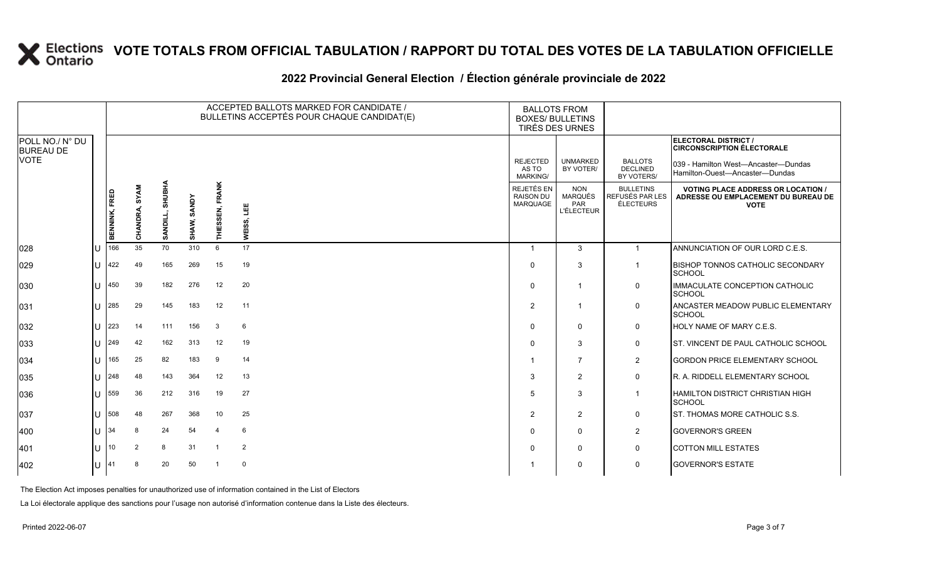### **2022 Provincial General Election / Élection générale provinciale de 2022**

|                                     |    |                      |               |                           |             |                 | ACCEPTED BALLOTS MARKED FOR CANDIDATE /<br>BULLETINS ACCEPTÉS POUR CHAQUE CANDIDAT(E) | <b>BALLOTS FROM</b><br><b>BOXES/ BULLETINS</b>    | TIRÉS DES URNES                                          |                                                  |                                                                                                 |  |
|-------------------------------------|----|----------------------|---------------|---------------------------|-------------|-----------------|---------------------------------------------------------------------------------------|---------------------------------------------------|----------------------------------------------------------|--------------------------------------------------|-------------------------------------------------------------------------------------------------|--|
| POLL NO./ N° DU<br><b>BUREAU DE</b> |    |                      |               |                           |             |                 |                                                                                       |                                                   |                                                          |                                                  | ELECTORAL DISTRICT /<br><b>CIRCONSCRIPTION ÉLECTORALE</b>                                       |  |
| <b>VOTE</b>                         |    |                      |               |                           |             |                 |                                                                                       | <b>REJECTED</b><br>AS TO<br><b>MARKING/</b>       | <b>UNMARKED</b><br>BY VOTER/                             | <b>BALLOTS</b><br><b>DECLINED</b><br>BY VOTERS/  | 039 - Hamilton West—Ancaster—Dundas<br>Hamilton-Ouest-Ancaster-Dundas                           |  |
|                                     |    | <b>BENNINK, FRED</b> | CHANDRA, SYAM | <b>SHUBHA</b><br>SANDILL, | SHAW, SANDY | THIESSEN, FRANK | 当<br>WEISS,                                                                           | <b>REJETÉS EN</b><br><b>RAISON DU</b><br>MARQUAGE | <b>NON</b><br><b>MARQUÉS</b><br>PAR<br><b>L'ÉLECTEUR</b> | <b>BULLETINS</b><br>REFUSÉS PAR LES<br>ÉLECTEURS | <b>VOTING PLACE ADDRESS OR LOCATION /</b><br>ADRESSE OU EMPLACEMENT DU BUREAU DE<br><b>VOTE</b> |  |
| 028                                 | lu | 166                  | 35            | 70                        | 310         | 6               | 17                                                                                    |                                                   | $\mathbf{3}$                                             | $\mathbf{1}$                                     | ANNUNCIATION OF OUR LORD C.E.S.                                                                 |  |
| 029                                 | lu | 422                  | 49            | 165                       | 269         | 15              | 19                                                                                    | $\Omega$                                          | 3                                                        | $\mathbf{1}$                                     | <b>BISHOP TONNOS CATHOLIC SECONDARY</b><br><b>SCHOOL</b>                                        |  |
| 030                                 | lu | 450                  | 39            | 182                       | 276         | 12              | 20                                                                                    | $\Omega$                                          | $\overline{\mathbf{1}}$                                  | $\mathbf 0$                                      | <b>IMMACULATE CONCEPTION CATHOLIC</b><br><b>SCHOOL</b>                                          |  |
| 031                                 | lU | 285                  | 29            | 145                       | 183         | 12              | 11                                                                                    | 2                                                 | -1                                                       | 0                                                | ANCASTER MEADOW PUBLIC ELEMENTARY<br><b>SCHOOL</b>                                              |  |
| 032                                 | lu | 223                  | 14            | 111                       | 156         | 3               | 6                                                                                     |                                                   | $\mathbf 0$                                              | $\mathbf 0$                                      | HOLY NAME OF MARY C.E.S.                                                                        |  |
| 033                                 | ΙU | 249                  | 42            | 162                       | 313         | 12              | 19                                                                                    | $\Omega$                                          | 3                                                        | $\mathbf 0$                                      | ST. VINCENT DE PAUL CATHOLIC SCHOOL                                                             |  |
| 034                                 | lu | 165                  | 25            | 82                        | 183         | 9               | 14                                                                                    |                                                   | $\overline{7}$                                           | $\overline{2}$                                   | <b>GORDON PRICE ELEMENTARY SCHOOL</b>                                                           |  |
| 035                                 | lu | 248                  | 48            | 143                       | 364         | 12              | 13                                                                                    | 3                                                 | 2                                                        | $\mathbf 0$                                      | R. A. RIDDELL ELEMENTARY SCHOOL                                                                 |  |
| 036                                 | ΙU | 559                  | 36            | 212                       | 316         | 19              | 27                                                                                    | 5                                                 | 3                                                        | $\overline{1}$                                   | <b>HAMILTON DISTRICT CHRISTIAN HIGH</b><br><b>SCHOOL</b>                                        |  |
| 037                                 | lu | 508                  | 48            | 267                       | 368         | 10              | 25                                                                                    | 2                                                 | 2                                                        | $\mathbf 0$                                      | ST. THOMAS MORE CATHOLIC S.S.                                                                   |  |
| 400                                 | lu | 34                   | 8             | 24                        | 54          | $\overline{4}$  | 6                                                                                     | $\Omega$                                          | $\mathbf 0$                                              | $\overline{2}$                                   | <b>GOVERNOR'S GREEN</b>                                                                         |  |
| 401                                 | lu | 10                   | 2             | 8                         | 31          | -1              | $\overline{2}$                                                                        |                                                   | $\mathbf 0$                                              | $\mathbf 0$                                      | <b>COTTON MILL ESTATES</b>                                                                      |  |
| $ 402\rangle$                       | lU | 41                   | 8             | 20                        | 50          | -1              | $\mathbf 0$                                                                           |                                                   | $\mathbf 0$                                              | $\mathbf 0$                                      | <b>GOVERNOR'S ESTATE</b>                                                                        |  |

The Election Act imposes penalties for unauthorized use of information contained in the List of Electors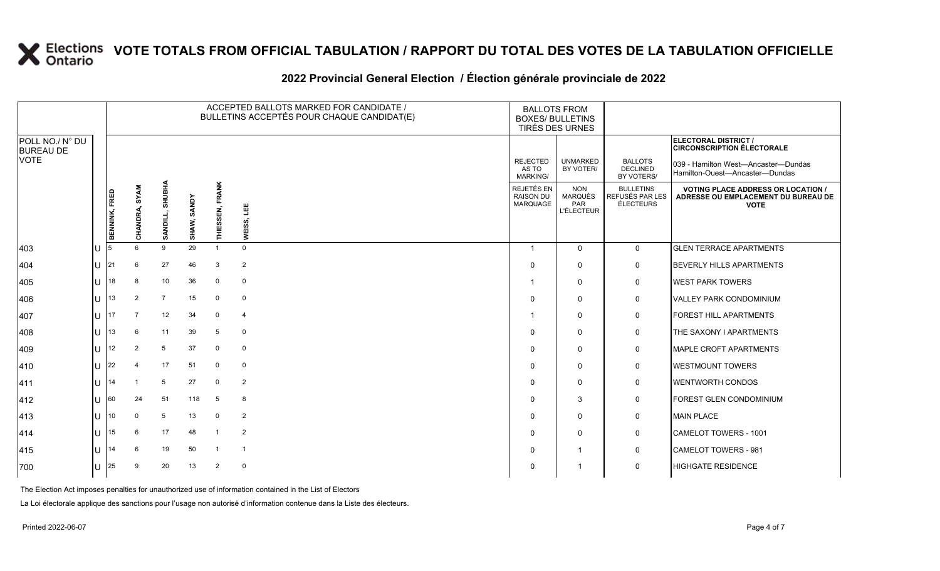### **2022 Provincial General Election / Élection générale provinciale de 2022**

|                                                    |     |               |                         |                                |                       | ACCEPTED BALLOTS MARKED FOR CANDIDATE /<br>BULLETINS ACCEPTÉS POUR CHAQUE CANDIDAT(E) | <b>BALLOTS FROM</b><br><b>BOXES/ BULLETINS</b><br>TIRÉS DES URNES |                                             |                                                   |                                                  |                                                                                                 |
|----------------------------------------------------|-----|---------------|-------------------------|--------------------------------|-----------------------|---------------------------------------------------------------------------------------|-------------------------------------------------------------------|---------------------------------------------|---------------------------------------------------|--------------------------------------------------|-------------------------------------------------------------------------------------------------|
| POLL NO./ N° DU<br><b>BUREAU DE</b><br><b>VOTE</b> |     |               |                         |                                |                       |                                                                                       |                                                                   |                                             |                                                   |                                                  | ELECTORAL DISTRICT /<br><b>CIRCONSCRIPTION ÉLECTORALE</b>                                       |
|                                                    |     |               |                         |                                |                       |                                                                                       |                                                                   | <b>REJECTED</b><br>AS TO<br><b>MARKING/</b> | <b>UNMARKED</b><br>BY VOTER/                      | <b>BALLOTS</b><br><b>DECLINED</b><br>BY VOTERS/  | 039 - Hamilton West-Ancaster-Dundas<br>Hamilton-Ouest—Ancaster—Dundas                           |
|                                                    |     | BENNINK, FRED | <b>SYAM</b><br>CHANDRA, | <b>SHUBHA</b><br><b>SANDIL</b> | <b>SANDY</b><br>SHAW, | <b>THIESSEN, FRANK</b>                                                                | ᄈ<br>WEISS,                                                       | REJETÉS EN<br><b>RAISON DU</b><br>MARQUAGE  | <b>NON</b><br>MARQUÉS<br>PAR<br><b>L'ÉLECTEUR</b> | <b>BULLETINS</b><br>REFUSÉS PAR LES<br>ÉLECTEURS | <b>VOTING PLACE ADDRESS OR LOCATION /</b><br>ADRESSE OU EMPLACEMENT DU BUREAU DE<br><b>VOTE</b> |
| 403                                                | U   | 5             | $6\overline{6}$         | 9                              | 29                    | -1                                                                                    | $\mathbf 0$                                                       |                                             | $\mathbf{0}$                                      | $\Omega$                                         | <b>GLEN TERRACE APARTMENTS</b>                                                                  |
| 404                                                | ΙU  | 21            | 6                       | 27                             | 46                    | 3                                                                                     | $\overline{2}$                                                    | 0                                           | 0                                                 | 0                                                | <b>BEVERLY HILLS APARTMENTS</b>                                                                 |
| 405                                                | ΠT  | 18            | 8                       | 10                             | 36                    | $\mathbf 0$                                                                           | $\mathsf 0$                                                       |                                             | $\Omega$                                          | 0                                                | <b>WEST PARK TOWERS</b>                                                                         |
| 406                                                | ΙU  | 13            | 2                       | $\overline{7}$                 | 15                    | 0                                                                                     | $\mathbf 0$                                                       | $\Omega$                                    | 0                                                 | 0                                                | <b>VALLEY PARK CONDOMINIUM</b>                                                                  |
| 407                                                | lΗ  | 17            | $\overline{7}$          | 12                             | 34                    | $\mathbf 0$                                                                           | $\overline{4}$                                                    |                                             | $\Omega$                                          | 0                                                | <b>FOREST HILL APARTMENTS</b>                                                                   |
| 408                                                | ΠT  | 13            | $6\overline{6}$         | 11                             | 39                    | 5                                                                                     | $\mathbf 0$                                                       | 0                                           | 0                                                 | 0                                                | THE SAXONY I APARTMENTS                                                                         |
| 409                                                | ΙU  | 12            | $\overline{2}$          | 5                              | 37                    | $\mathbf 0$                                                                           | $\mathbf 0$                                                       | $\Omega$                                    | $\mathbf 0$                                       | 0                                                | <b>MAPLE CROFT APARTMENTS</b>                                                                   |
| 410                                                | ΙU  | 22            | 4                       | 17                             | 51                    | $\mathbf 0$                                                                           | $\mathbf 0$                                                       | $\Omega$                                    | 0                                                 | 0                                                | <b>WESTMOUNT TOWERS</b>                                                                         |
| 411                                                | U   | 14            |                         | 5                              | 27                    | $\mathbf 0$                                                                           | $\overline{2}$                                                    | $\Omega$                                    | 0                                                 | 0                                                | <b>WENTWORTH CONDOS</b>                                                                         |
| 412                                                | U   | 60            | 24                      | 51                             | 118                   | 5                                                                                     | 8                                                                 | $\Omega$                                    | 3                                                 | 0                                                | <b>FOREST GLEN CONDOMINIUM</b>                                                                  |
| 413                                                | ΙU  | 10            | $\mathbf 0$             | 5                              | 13                    | 0                                                                                     | $\overline{2}$                                                    | $\Omega$                                    | $\mathbf 0$                                       | 0                                                | <b>MAIN PLACE</b>                                                                               |
| 414                                                | ΙU  | 15            | 6                       | 17                             | 48                    |                                                                                       | $\overline{2}$                                                    | $\Omega$                                    | 0                                                 | 0                                                | CAMELOT TOWERS - 1001                                                                           |
| 415                                                | U   | 14            | 6                       | 19                             | 50                    | $\overline{1}$                                                                        | $\overline{1}$                                                    | $\Omega$                                    | $\mathbf{1}$                                      | 0                                                | <b>CAMELOT TOWERS - 981</b>                                                                     |
| 700                                                | lU. | 25            | 9                       | 20                             | 13                    | $\overline{2}$                                                                        | $\mathbf 0$                                                       | $\Omega$                                    |                                                   | $\Omega$                                         | <b>HIGHGATE RESIDENCE</b>                                                                       |

The Election Act imposes penalties for unauthorized use of information contained in the List of Electors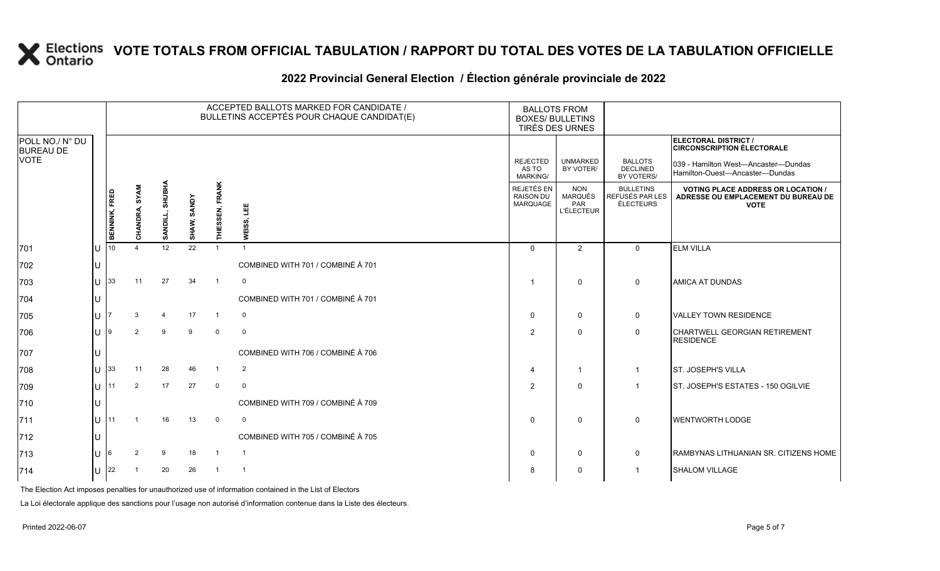## **2022 Provincial General Election / Élection générale provinciale de 2022**

|                                     |     |               | ACCEPTED BALLOTS MARKED FOR CANDIDATE /<br><b>BALLOTS FROM</b><br>BULLETINS ACCEPTÉS POUR CHAQUE CANDIDAT(E)<br><b>BOXES/ BULLETINS</b><br>TIRÉS DES URNES |                 |                       |                        |                                   |                                             |                                                   |                                                  |                                                                                               |
|-------------------------------------|-----|---------------|------------------------------------------------------------------------------------------------------------------------------------------------------------|-----------------|-----------------------|------------------------|-----------------------------------|---------------------------------------------|---------------------------------------------------|--------------------------------------------------|-----------------------------------------------------------------------------------------------|
| POLL NO./ N° DU<br><b>BUREAU DE</b> |     |               |                                                                                                                                                            |                 |                       |                        |                                   |                                             |                                                   |                                                  | ELECTORAL DISTRICT /<br><b>CIRCONSCRIPTION ÉLECTORALE</b>                                     |
| <b>VOTE</b>                         |     |               |                                                                                                                                                            |                 |                       |                        |                                   | <b>REJECTED</b><br>AS TO<br><b>MARKING/</b> | <b>UNMARKED</b><br>BY VOTER/                      | <b>BALLOTS</b><br><b>DECLINED</b><br>BY VOTERS/  | 039 - Hamilton West-Ancaster-Dundas<br>Hamilton-Ouest—Ancaster—Dundas                         |
|                                     |     | BENNINK, FRED | CHANDRA, SYAM                                                                                                                                              | SANDILL, SHUBHA | <b>SANDY</b><br>SHAW, | <b>THIESSEN, FRANK</b> | 삠<br>WEISS,                       | REJETÉS EN<br><b>RAISON DU</b><br>MARQUAGE  | <b>NON</b><br>MARQUÉS<br>PAR<br><b>L'ÉLECTEUR</b> | <b>BULLETINS</b><br>REFUSÉS PAR LES<br>ÉLECTEURS | <b>VOTING PLACE ADDRESS OR LOCATION</b><br>ADRESSE OU EMPLACEMENT DU BUREAU DE<br><b>VOTE</b> |
| 701                                 | IU  | 10            |                                                                                                                                                            | 12              | 22                    |                        | $\overline{1}$                    | $\Omega$                                    | $\overline{2}$                                    | $\Omega$                                         | <b>ELM VILLA</b>                                                                              |
| 702                                 | IU  |               |                                                                                                                                                            |                 |                       |                        | COMBINED WITH 701 / COMBINÉ À 701 |                                             |                                                   |                                                  |                                                                                               |
| 703                                 | ΙU  | 33            | 11                                                                                                                                                         | 27              | 34                    |                        | $\mathbf 0$                       |                                             | 0                                                 | 0                                                | <b>AMICA AT DUNDAS</b>                                                                        |
| 704                                 | ЦJ  |               |                                                                                                                                                            |                 |                       |                        | COMBINED WITH 701 / COMBINÉ À 701 |                                             |                                                   |                                                  |                                                                                               |
| 705                                 | IU. |               |                                                                                                                                                            |                 | 17                    | $\mathbf{1}$           | 0                                 | $\mathbf 0$                                 | 0                                                 | 0                                                | <b>VALLEY TOWN RESIDENCE</b>                                                                  |
| 706                                 | IU  | g             | $\mathcal{P}$                                                                                                                                              | 9               | 9                     | $\mathbf 0$            | $\mathbf 0$                       | $\overline{2}$                              | $\Omega$                                          | 0                                                | CHARTWELL GEORGIAN RETIREMENT<br><b>RESIDENCE</b>                                             |
| 707                                 |     |               |                                                                                                                                                            |                 |                       |                        | COMBINED WITH 706 / COMBINÉ À 706 |                                             |                                                   |                                                  |                                                                                               |
| 708                                 | ΙU  | 33            | 11                                                                                                                                                         | 28              | 46                    |                        | $\overline{2}$                    | 4                                           | -1                                                | -1                                               | ST. JOSEPH'S VILLA                                                                            |
| 709                                 | lu- | 11            | 2                                                                                                                                                          | 17              | 27                    | $\mathbf 0$            | $\mathbf 0$                       | $\overline{2}$                              | $\mathbf{0}$                                      |                                                  | ST. JOSEPH'S ESTATES - 150 OGILVIE                                                            |
| 710                                 | IU  |               |                                                                                                                                                            |                 |                       |                        | COMBINED WITH 709 / COMBINÉ À 709 |                                             |                                                   |                                                  |                                                                                               |
| 711                                 | Ш   | 11            |                                                                                                                                                            | 16              | 13                    | $\Omega$               | 0                                 | $\mathbf 0$                                 | $\mathbf{0}$                                      | $\Omega$                                         | <b>WENTWORTH LODGE</b>                                                                        |
| 712                                 | IU  |               |                                                                                                                                                            |                 |                       |                        | COMBINED WITH 705 / COMBINÉ À 705 |                                             |                                                   |                                                  |                                                                                               |
| 713                                 | lu  | 6             | 2                                                                                                                                                          | 9               | 18                    |                        | $\overline{1}$                    | 0                                           | 0                                                 | 0                                                | RAMBYNAS LITHUANIAN SR. CITIZENS HOME                                                         |
| 714                                 |     | $U$ 22        |                                                                                                                                                            | 20              | 26                    | $\overline{1}$         | $\overline{1}$                    | 8                                           | $\Omega$                                          |                                                  | <b>SHALOM VILLAGE</b>                                                                         |

The Election Act imposes penalties for unauthorized use of information contained in the List of Electors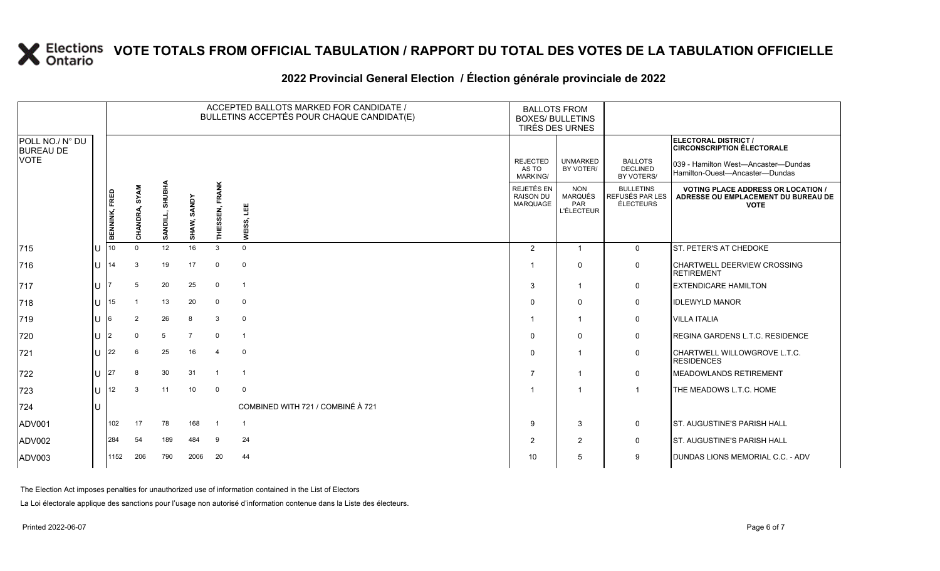## **2022 Provincial General Election / Élection générale provinciale de 2022**

|                                     |     |                      |                |                 |                |                 | ACCEPTED BALLOTS MARKED FOR CANDIDATE /<br>BULLETINS ACCEPTÉS POUR CHAQUE CANDIDAT(E) | <b>BALLOTS FROM</b><br><b>BOXES/ BULLETINS</b> | TIRÉS DES URNES                                          |                                                         |                                                                                                 |
|-------------------------------------|-----|----------------------|----------------|-----------------|----------------|-----------------|---------------------------------------------------------------------------------------|------------------------------------------------|----------------------------------------------------------|---------------------------------------------------------|-------------------------------------------------------------------------------------------------|
| POLL NO./ N° DU<br><b>BUREAU DE</b> |     |                      |                |                 |                |                 |                                                                                       |                                                |                                                          |                                                         | <b>ELECTORAL DISTRICT /</b><br><b>CIRCONSCRIPTION ÉLECTORALE</b>                                |
| <b>VOTE</b>                         |     |                      |                |                 |                |                 |                                                                                       | <b>REJECTED</b><br>AS TO<br><b>MARKING/</b>    | <b>UNMARKED</b><br>BY VOTER/                             | <b>BALLOTS</b><br><b>DECLINED</b><br>BY VOTERS/         | 039 - Hamilton West—Ancaster—Dundas<br>Hamilton-Ouest-Ancaster-Dundas                           |
|                                     |     | <b>BENNINK, FRED</b> | CHANDRA, SYAM  | SANDILL, SHUBHA | SHAW, SANDY    | THIESSEN, FRANK | 쁔<br>ທົ<br><b>WEISS</b>                                                               | REJETÉS EN<br><b>RAISON DU</b><br>MARQUAGE     | <b>NON</b><br><b>MARQUÉS</b><br>PAR<br><b>L'ÉLECTEUR</b> | <b>BULLETINS</b><br>REFUSÉS PAR LES<br><b>ÉLECTEURS</b> | <b>VOTING PLACE ADDRESS OR LOCATION /</b><br>ADRESSE OU EMPLACEMENT DU BUREAU DE<br><b>VOTE</b> |
| 715                                 | lu  | 10 <sup>10</sup>     | $\Omega$       | 12              | 16             | 3               | $\mathbf 0$                                                                           | 2                                              | $\overline{1}$                                           | $\mathbf 0$                                             | ST. PETER'S AT CHEDOKE                                                                          |
| 716                                 | lu  | 14                   | 3              | 19              | 17             | $\Omega$        | $\overline{0}$                                                                        |                                                | $\mathbf 0$                                              | $\mathbf 0$                                             | <b>CHARTWELL DEERVIEW CROSSING</b><br><b>RETIREMENT</b>                                         |
| 717                                 | lu  |                      | 5              | 20              | 25             | $\mathbf 0$     | $\overline{1}$                                                                        | 3                                              | $\overline{1}$                                           | 0                                                       | <b>EXTENDICARE HAMILTON</b>                                                                     |
| 718                                 | lu  | 15                   | $\overline{1}$ | 13              | 20             | $\mathbf 0$     | $\overline{0}$                                                                        |                                                | $\mathbf 0$                                              | 0                                                       | <b>IDLEWYLD MANOR</b>                                                                           |
| 719                                 | lu  |                      | $\overline{2}$ | 26              | 8              | 3               | $\overline{0}$                                                                        |                                                |                                                          | 0                                                       | <b>VILLA ITALIA</b>                                                                             |
| 720                                 | lu  | 2                    | $\mathbf 0$    | 5               | $\overline{7}$ | 0               | $\overline{1}$                                                                        | $\Omega$                                       | $\mathbf 0$                                              | 0                                                       | <b>REGINA GARDENS L.T.C. RESIDENCE</b>                                                          |
| 721                                 | lu  | 22                   | 6              | 25              | 16             | $\overline{4}$  | $\overline{0}$                                                                        | $\Omega$                                       |                                                          | $\mathbf 0$                                             | CHARTWELL WILLOWGROVE L.T.C.<br><b>RESIDENCES</b>                                               |
| 722                                 | lu  | 27                   | 8              | 30              | 31             | $\overline{1}$  | $\overline{1}$                                                                        |                                                |                                                          | $\mathbf 0$                                             | <b>MEADOWLANDS RETIREMENT</b>                                                                   |
| 723                                 | lu. | 12                   | 3              | 11              | 10             | $\mathbf 0$     | $\mathbf 0$                                                                           |                                                |                                                          | $\overline{\mathbf{1}}$                                 | THE MEADOWS L.T.C. HOME                                                                         |
| 724                                 | Iυ  |                      |                |                 |                |                 | COMBINED WITH 721 / COMBINÉ À 721                                                     |                                                |                                                          |                                                         |                                                                                                 |
| ADV001                              |     | 102                  | 17             | 78              | 168            | -1              | $\overline{1}$                                                                        | 9                                              | 3                                                        | $\mathbf 0$                                             | <b>ST. AUGUSTINE'S PARISH HALL</b>                                                              |
| ADV002                              |     | 284                  | 54             | 189             | 484            | -9              | 24                                                                                    | 2                                              | 2                                                        | 0                                                       | <b>ST. AUGUSTINE'S PARISH HALL</b>                                                              |
| ADV003                              |     | 1152                 | 206            | 790             | 2006           | 20              | 44                                                                                    | 10                                             | 5                                                        | 9                                                       | DUNDAS LIONS MEMORIAL C.C. - ADV                                                                |

The Election Act imposes penalties for unauthorized use of information contained in the List of Electors